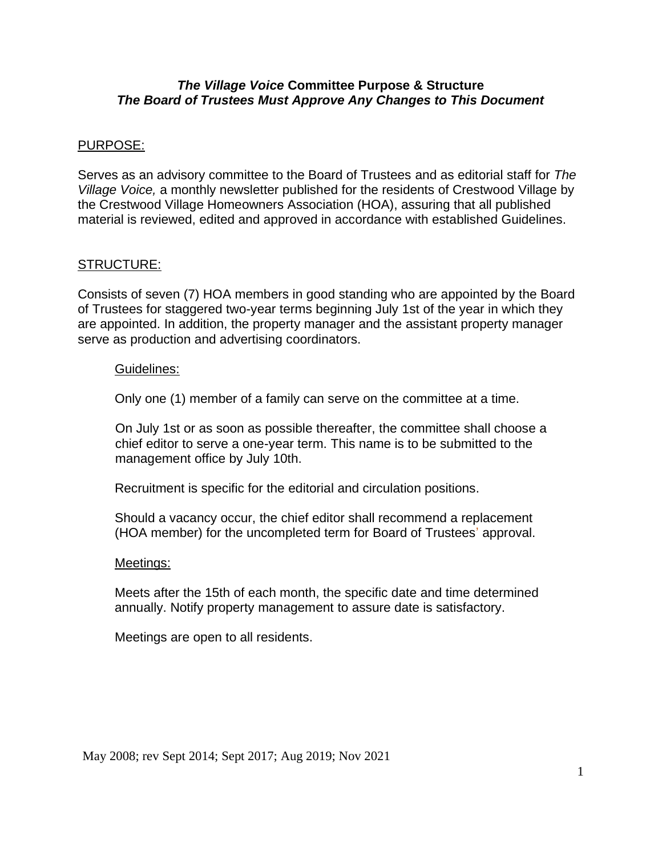## *The Village Voice* **Committee Purpose & Structure** *The Board of Trustees Must Approve Any Changes to This Document*

### PURPOSE:

Serves as an advisory committee to the Board of Trustees and as editorial staff for *The Village Voice,* a monthly newsletter published for the residents of Crestwood Village by the Crestwood Village Homeowners Association (HOA), assuring that all published material is reviewed, edited and approved in accordance with established Guidelines.

### STRUCTURE:

Consists of seven (7) HOA members in good standing who are appointed by the Board of Trustees for staggered two-year terms beginning July 1st of the year in which they are appointed. In addition, the property manager and the assistant property manager serve as production and advertising coordinators.

#### Guidelines:

Only one (1) member of a family can serve on the committee at a time.

On July 1st or as soon as possible thereafter, the committee shall choose a chief editor to serve a one-year term. This name is to be submitted to the management office by July 10th.

Recruitment is specific for the editorial and circulation positions.

Should a vacancy occur, the chief editor shall recommend a replacement (HOA member) for the uncompleted term for Board of Trustees' approval.

#### Meetings:

Meets after the 15th of each month, the specific date and time determined annually. Notify property management to assure date is satisfactory.

Meetings are open to all residents.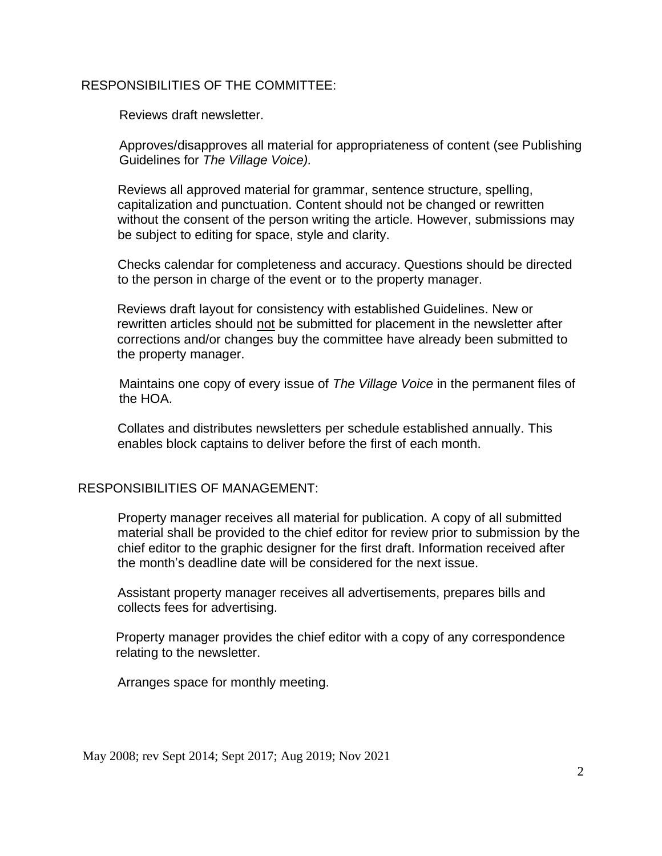# RESPONSIBILITIES OF THE COMMITTEE:

Reviews draft newsletter.

Approves/disapproves all material for appropriateness of content (see Publishing Guidelines for *The Village Voice).* 

Reviews all approved material for grammar, sentence structure, spelling, capitalization and punctuation. Content should not be changed or rewritten without the consent of the person writing the article. However, submissions may be subject to editing for space, style and clarity.

Checks calendar for completeness and accuracy. Questions should be directed to the person in charge of the event or to the property manager.

Reviews draft layout for consistency with established Guidelines. New or rewritten articles should not be submitted for placement in the newsletter after corrections and/or changes buy the committee have already been submitted to the property manager.

Maintains one copy of every issue of *The Village Voice* in the permanent files of the HOA.

Collates and distributes newsletters per schedule established annually. This enables block captains to deliver before the first of each month.

# RESPONSIBILITIES OF MANAGEMENT:

Property manager receives all material for publication. A copy of all submitted material shall be provided to the chief editor for review prior to submission by the chief editor to the graphic designer for the first draft. Information received after the month's deadline date will be considered for the next issue.

Assistant property manager receives all advertisements, prepares bills and collects fees for advertising.

Property manager provides the chief editor with a copy of any correspondence relating to the newsletter.

Arranges space for monthly meeting.

May 2008; rev Sept 2014; Sept 2017; Aug 2019; Nov 2021